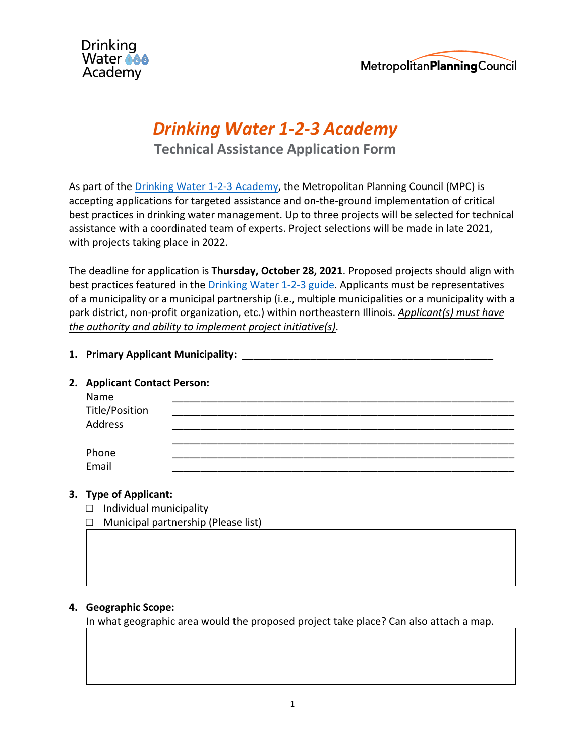



# *Drinking Water 1-2-3 Academy*

**Technical Assistance Application Form**

As part of the Drinking Water 1-2-3 Academy, the Metropolitan Planning Council (MPC) is accepting applications for targeted assistance and on-the-ground implementation of critical best practices in drinking water management. Up to three projects will be selected for technical assistance with a coordinated team of experts. Project selections will be made in late 2021, with projects taking place in 2022.

The deadline for application is **Thursday, October 28, 2021**. Proposed projects should align with best practices featured in the Drinking Water 1-2-3 guide. Applicants must be representatives of a municipality or a municipal partnership (i.e., multiple municipalities or a municipality with a park district, non-profit organization, etc.) within northeastern Illinois. *Applicant(s) must have the authority and ability to implement project initiative(s)*.

## **1. Primary Applicant Municipality:** \_\_\_\_\_\_\_\_\_\_\_\_\_\_\_\_\_\_\_\_\_\_\_\_\_\_\_\_\_\_\_\_\_\_\_\_\_\_\_\_\_\_\_\_

### **2. Applicant Contact Person:**

| Name<br>Title/Position |  |
|------------------------|--|
| Address                |  |
|                        |  |
| Phone<br>Email         |  |

# **3. Type of Applicant:**

- $\Box$  Individual municipality
- □ Municipal partnership (Please list)

# **4. Geographic Scope:**

In what geographic area would the proposed project take place? Can also attach a map.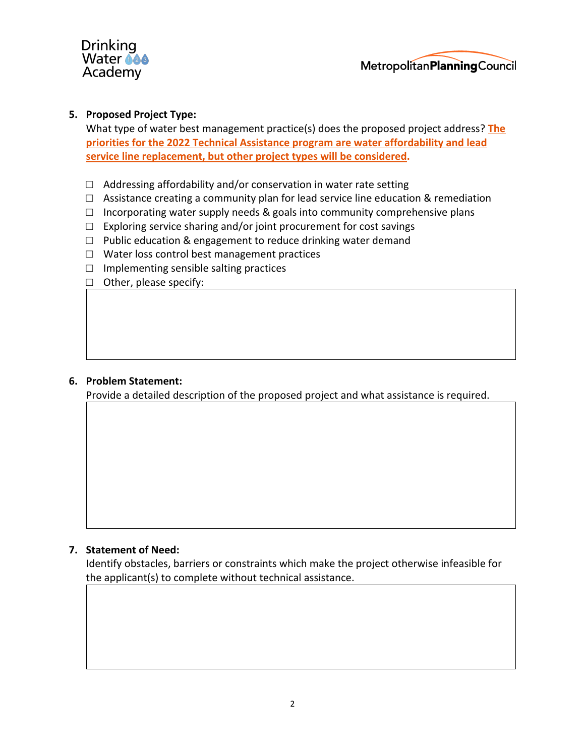



#### **5. Proposed Project Type:**

What type of water best management practice(s) does the proposed project address? **The priorities for the 2022 Technical Assistance program are water affordability and lead service line replacement, but other project types will be considered.**

- $\Box$  Addressing affordability and/or conservation in water rate setting
- $\Box$  Assistance creating a community plan for lead service line education & remediation
- $\Box$  Incorporating water supply needs & goals into community comprehensive plans
- $\Box$  Exploring service sharing and/or joint procurement for cost savings
- $\Box$  Public education & engagement to reduce drinking water demand
- □ Water loss control best management practices
- $\Box$  Implementing sensible salting practices
- □ Other, please specify:

#### **6. Problem Statement:**

Provide a detailed description of the proposed project and what assistance is required.

#### **7. Statement of Need:**

Identify obstacles, barriers or constraints which make the project otherwise infeasible for the applicant(s) to complete without technical assistance.